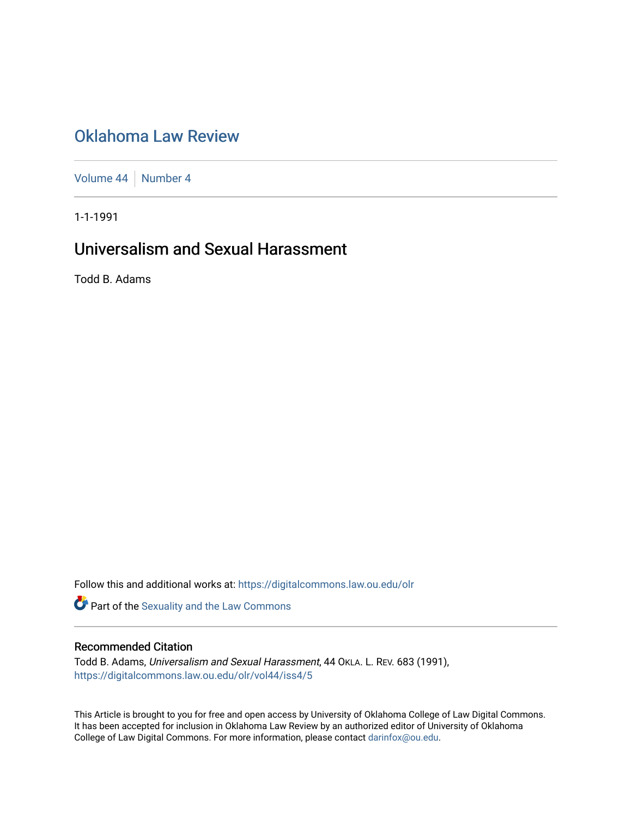# [Oklahoma Law Review](https://digitalcommons.law.ou.edu/olr)

[Volume 44](https://digitalcommons.law.ou.edu/olr/vol44) [Number 4](https://digitalcommons.law.ou.edu/olr/vol44/iss4)

1-1-1991

# Universalism and Sexual Harassment

Todd B. Adams

Follow this and additional works at: [https://digitalcommons.law.ou.edu/olr](https://digitalcommons.law.ou.edu/olr?utm_source=digitalcommons.law.ou.edu%2Folr%2Fvol44%2Fiss4%2F5&utm_medium=PDF&utm_campaign=PDFCoverPages)

Part of the [Sexuality and the Law Commons](http://network.bepress.com/hgg/discipline/877?utm_source=digitalcommons.law.ou.edu%2Folr%2Fvol44%2Fiss4%2F5&utm_medium=PDF&utm_campaign=PDFCoverPages)

## Recommended Citation

Todd B. Adams, Universalism and Sexual Harassment, 44 OKLA. L. REV. 683 (1991), [https://digitalcommons.law.ou.edu/olr/vol44/iss4/5](https://digitalcommons.law.ou.edu/olr/vol44/iss4/5?utm_source=digitalcommons.law.ou.edu%2Folr%2Fvol44%2Fiss4%2F5&utm_medium=PDF&utm_campaign=PDFCoverPages) 

This Article is brought to you for free and open access by University of Oklahoma College of Law Digital Commons. It has been accepted for inclusion in Oklahoma Law Review by an authorized editor of University of Oklahoma College of Law Digital Commons. For more information, please contact [darinfox@ou.edu.](mailto:darinfox@ou.edu)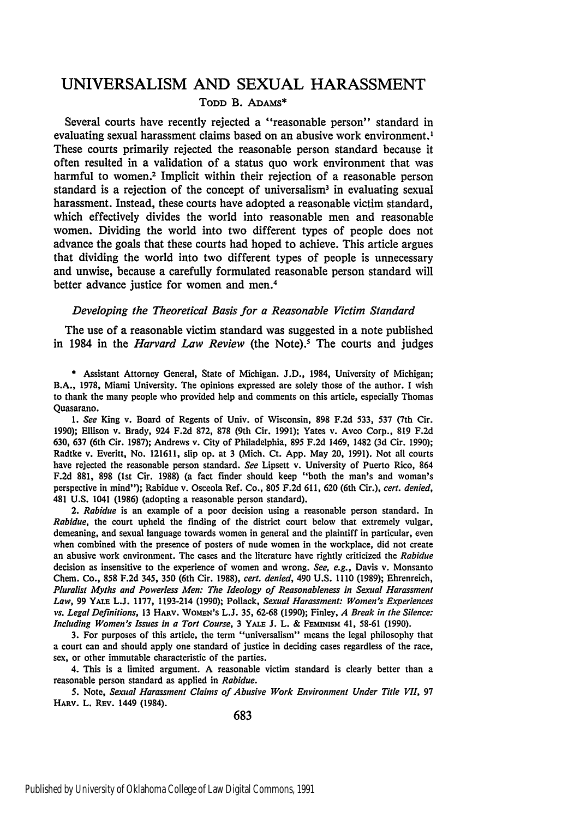## UNIVERSALISM **AND SEXUAL HARASSMENT TODD** B. ADAMs\*

Several courts have recently rejected a "reasonable person" standard in evaluating sexual harassment claims based on an abusive work environment.' These courts primarily rejected the reasonable person standard because it often resulted in a validation of a status quo work environment that was harmful to women.<sup>2</sup> Implicit within their rejection of a reasonable person standard is a rejection of the concept of universalism<sup>3</sup> in evaluating sexual harassment. Instead, these courts have adopted a reasonable victim standard, which effectively divides the world into reasonable men and reasonable women. Dividing the world into two different types of people does not advance the goals that these courts had hoped to achieve. This article argues that dividing the world into two different types of people is unnecessary and unwise, because a carefully formulated reasonable person standard will better advance justice for women and men.4

#### *Developing the Theoretical Basis for a Reasonable Victim Standard*

The use of a reasonable victim standard was suggested in a note published in 1984 in the *Harvard Law Review* (the Note).<sup>5</sup> The courts and judges

\* Assistant Attorney General, State of Michigan. J.D., 1984, University of Michigan; B.A., 1978, Miami University. The opinions expressed are solely those of the author. I wish to thank the many people who provided help and comments on this article, especially Thomas Quasarano.

*1. See* King v. Board of Regents of Univ. of Wisconsin, **898** F.2d 533, 537 (7th Cir. 1990); Ellison v. Brady, 924 F.2d 872, 878 (9th Cir. 1991); Yates v. Avco Corp., 819 F.2d 630, **637** (6th Cir. 1987); Andrews v. City of Philadelphia, 895 F.2d 1469, 1482 (3d Cir. 1990); Radtke v. Everitt, No. 121611, slip op. at **3** (Mich. Ct. App. May 20, 1991). Not all courts have rejected the reasonable person standard. *See* Lipsett v. University of Puerto Rico, 864 F.2d 881, **898** (1st Cir. **1988)** (a fact finder should keep "both the man's and woman's perspective in mind"); Rabidue v. Osceola Ref. Co., 805 F.2d 611, 620 (6th Cir.), *cert. denied,* 481 U.S. 1041 (1986) (adopting a reasonable person standard).

*2. Rabidue* is an example of a poor decision using a reasonable person standard. In *Rabidue,* the court upheld the finding of the district court below that extremely vulgar, demeaning, and sexual language towards women in general and the plaintiff in particular, even when combined with the presence of posters of nude women in the workplace, did not create an abusive work environment. The cases and the literature have rightly criticized the *Rabidue* decision as insensitive to the experience of women and wrong. *See, e.g.,* Davis v. Monsanto Chem. Co., 858 F.2d 345, 350 (6th Cir. 1988), *cert. denied,* 490 U.S. 1110 (1989); Ehrenreich, *Pluralist Myths and Powerless Men: The Ideology of Reasonableness in Sexual Harassment Law,* **99** YALE L.J. 1177, 1193-214 (1990); Pollack, *Sexual Harassment: Women's Experiences vs. Legal Definitions,* 13 HARv. WOMEN's L.J. 35, **62-68** (1990); Finley, *A Break in the Silence: Including Women's Issues in a Tort Course,* 3 YALE **J.** L. **&** FEMiNisM 41, **58-61** (1990).

**3.** For purposes of this article, the term "universalism" means the legal philosophy that a court can and should apply one standard of justice in deciding cases regardless of the race, sex, or other immutable characteristic of the parties.

4. This is a limited argument. A reasonable victim standard is clearly better than a reasonable person standard as applied in *Rabidue.*

5. Note, Sexual *Harassment* Claims of *Abusive Work Environment Under Title VII,* 97 HARv. L. REv. 1449 (1984).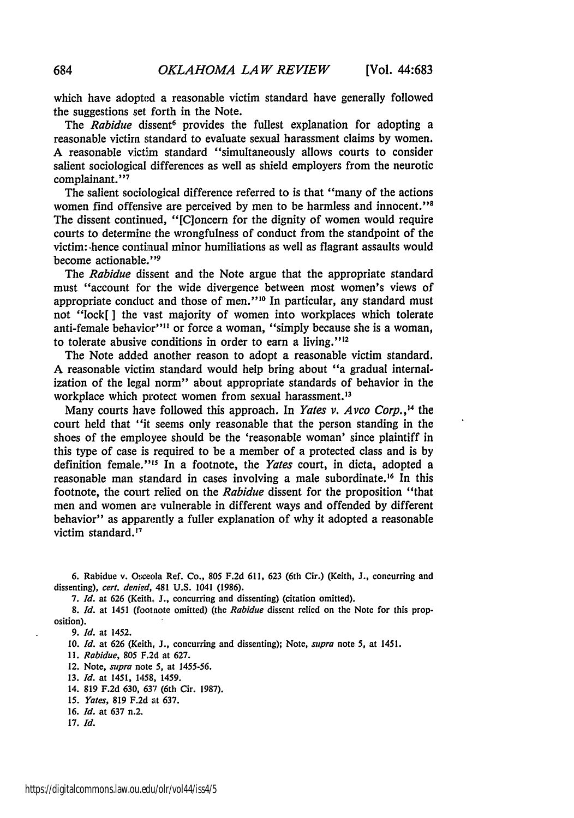which have adopted a reasonable victim standard have generally followed the suggestions set forth in the Note.

The *Rabidue* dissent<sup>6</sup> provides the fullest explanation for adopting a reasonable victim standard to evaluate sexual harassment claims by women. A reasonable victim standard "simultaneously allows courts to consider salient sociological differences as well as shield employers from the neurotic complainant."<sup>7</sup>

The salient sociological difference referred to is that "many of the actions women find offensive are perceived by men to be harmless and innocent. ' " The dissent continued, "[C]oncern for the dignity of women would require courts to determine the wrongfulness of conduct from the standpoint of the victim: .hence continual minor humiliations as well as flagrant assaults would become actionable."<sup>9</sup>

The *Rabidue* dissent and the Note argue that the appropriate standard must "account for the wide divergence between most women's views of appropriate conduct and those of men."<sup>10</sup> In particular, any standard must not "lock[ **]** the vast majority of women into workplaces which tolerate anti-female behavior"<sup>11</sup> or force a woman, "simply because she is a woman, to tolerate abusive conditions in order to earn a living." $^{12}$ 

The Note added another reason to adopt a reasonable victim standard. A reasonable victim standard would help bring about "a gradual internalization of the legal norm" about appropriate standards of behavior in the workplace which protect women from sexual harassment.<sup>13</sup>

Many courts have followed this approach. In *Yates v. Avco Corp.* ,'4 the court held that "it seems only reasonable that the person standing in the shoes of the employee should be the 'reasonable woman' since plaintiff in this type of case is required to be a member of a protected class and is by definition female."<sup>15</sup> In a footnote, the *Yates* court, in dicta, adopted a reasonable man standard in cases involving a male subordinate.<sup>16</sup> In this footnote, the court relied on the *Rabidue* dissent for the proposition "that men and women are vulnerable in different ways and offended by different behavior" as apparently a fuller explanation of why it adopted a reasonable victim standard.<sup>17</sup>

**6.** Rabidue v. Osceola Ref. Co., 805 **F.2d** 611, **623** (6th Cir.) (Keith, **J.,** concurring and dissenting), *cert. denied,* 481 U.S. 1041 (1986).

7. *Id.* at 626 (Keith. J., concurring and dissenting) (citation omitted).

8. *Id.* at 1451 (footnote omitted) (the *Rabidue* dissent relied on the Note for this proposition).

*9. Id.* at 1452.

**10.** *Id.* at 626 (Keith, **J.,** concurring and dissenting); Note, *supra* note 5, at 1451.

11. *Rabidue,* 805 F.2d at 627.

12. Note, *supra* note 5, at 1455-56.

13. *Id.* at 1451, 1458, 1459.

- 14. 819 F.2d 630, 637 (6th Cir. 1987).
- *15. Yates,* 819 F.2d at 637.
- 16. *Id.* at 637 n.2.
- 17. *Id.*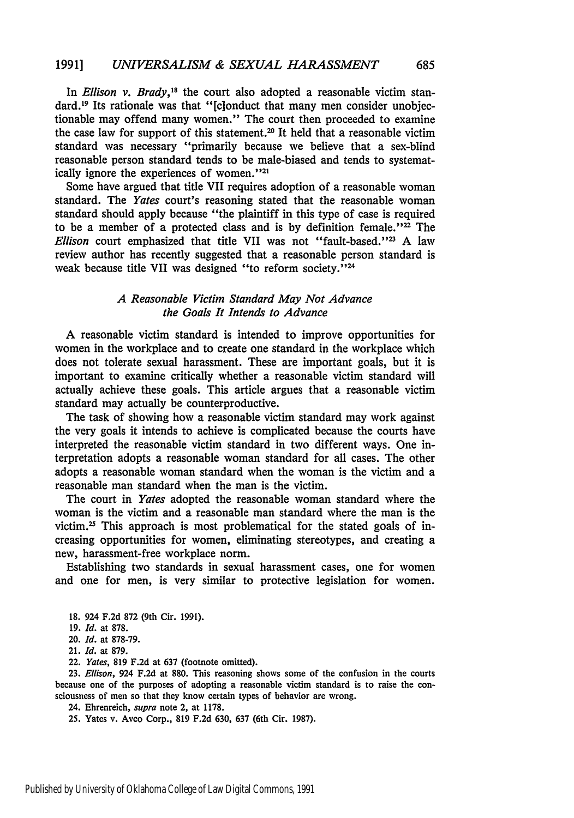In *Ellison v. Brady*,<sup>18</sup> the court also adopted a reasonable victim standard.<sup>19</sup> Its rationale was that "[clonduct that many men consider unobjectionable may offend many women." The court then proceeded to examine the case law for support of this statement.<sup>20</sup> It held that a reasonable victim standard was necessary "primarily because **we** believe that a sex-blind reasonable person standard tends to be male-biased and tends to systematically ignore the experiences of women."<sup>21</sup>

Some have argued that title VII requires adoption of a reasonable woman standard. The *Yates* court's reasoning stated that the reasonable woman standard should apply because "the plaintiff in this type of case is required to be a member of a protected class and is by definition female."<sup>22</sup> The Ellison court emphasized that title VII was not "fault-based."<sup>23</sup> A law review author has recently suggested that a reasonable person standard is weak because title VII was designed "to reform society."<sup>24</sup>

### *A Reasonable Victim Standard May Not Advance the Goals It Intends to Advance*

**A** reasonable victim standard is intended to improve opportunities for women in the workplace and to create one standard in the workplace which does not tolerate sexual harassment. These are important goals, but it is important to examine critically whether a reasonable victim standard will actually achieve these goals. This article argues that a reasonable victim standard may actually be counterproductive.

The task of showing how a reasonable victim standard may work against the very goals it intends to achieve is complicated because the courts have interpreted the reasonable victim standard in two different ways. One interpretation adopts a reasonable woman standard for all cases. The other adopts a reasonable woman standard when the woman is the victim and a reasonable man standard when the man is the victim.

The court in *Yates* adopted the reasonable woman standard where the woman is the victim and a reasonable man standard where the man is the victim, $25$  This approach is most problematical for the stated goals of increasing opportunities for women, eliminating stereotypes, and creating a new, harassment-free workplace norm.

Establishing two standards in sexual harassment cases, one for women and one for men, is very similar to protective legislation for women.

21. Id. at **879.**

22. *Yates,* **819 F.2d** at **637** (footnote omitted).

**23.** *Ellison,* 924 **F.2d** at **880.** This reasoning shows some of the confusion in the courts because one of the purposes of adopting a reasonable victim standard is to raise the consciousness of men so that they know certain types of behavior are wrong.

24. Ehrenreich, *supra* note 2, at **1178.**

**25.** Yates v. Avco Corp., **819 F.2d 630, 637** (6th Cir. **1987).**

**<sup>18.</sup>** 924 **F.2d 872** (9th Cir. **1991).**

**<sup>19.</sup>** Id. at **878.**

<sup>20.</sup> *Id.* at **878-79.**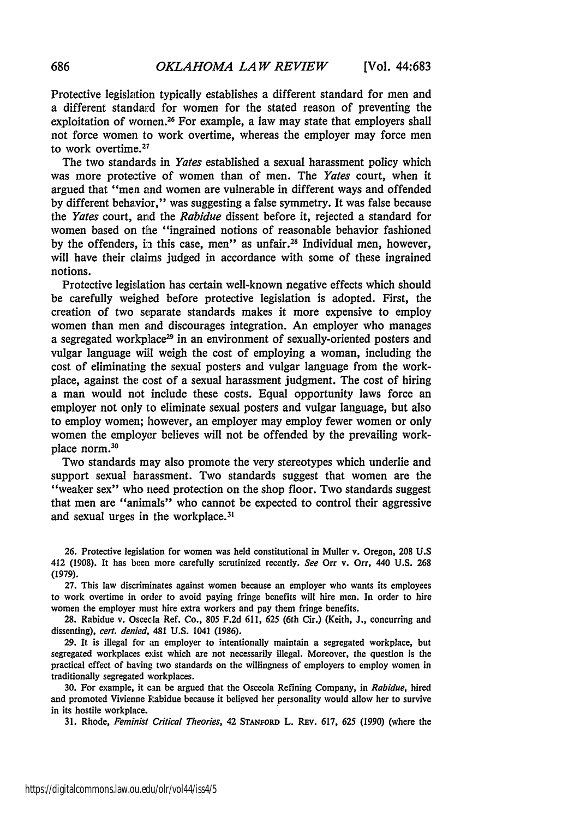Protective legislation typically establishes a different standard for men and a different standard for women for the stated reason of preventing the exploitation of women.<sup>26</sup> For example, a law may state that employers shall not force women to work overtime, whereas the employer may force men to work overtime. <sup>27</sup>

The two standards in *Yates* established a sexual harassment policy which was more protective of women than of men. The *Yates* court, when it argued that "men and women are vulnerable in different ways and offended by different behavior," was suggesting a false symmetry. It was false because the *Yates* court, and the *Rabidue* dissent before it, rejected a standard for women based on the "ingrained notions of reasonable behavior fashioned **by** the offenders, in this case, men" as unfair.28 Individual men, however, will have their claims judged in accordance with some of these ingrained notions.

Protective legislation has certain well-known negative effects which should be carefully weighed before protective legislation is adopted. First, the creation of two separate standards makes it more expensive to employ women than men and discourages integration. An employer who manages a segregated workplace<sup>29</sup> in an environment of sexually-oriented posters and vulgar language will weigh the cost of employing a woman, including the cost of eliminating the sexual posters and vulgar language from the workplace, against the cost of a sexual harassment judgment. The cost of hiring a man would not include these costs. Equal opportunity laws force an employer not only to eliminate sexual posters and vulgar language, but also to employ women; however, an employer may employ fewer women or only women the employer believes will not be offended by the prevailing workplace norm.<sup>30</sup>

Two standards may also promote the very stereotypes which underlie and support sexual harassment. Two standards suggest that women are the "weaker sex" who need protection on the shop floor. Two standards suggest that men are "animals" who cannot be expected to control their aggressive and sexual urges in the workplace.<sup>31</sup>

26. Protective legislation for women was held constitutional in Muller v. Oregon, **208** U.S 412 (1908). It has been more carefully scrutinized recently. *See* Orr v. Orr, 440 U.S. **268** (1979).

27. This law discriminates against women because an employer who wants its employees to work overtime in order to avoid paying fringe benefits will hire men. In order to hire women the employer must hire extra workers and pay them fringe benefits.

**28.** Rabidue v. Oscecla Ref. Co., **805** F.2d 611, 625 (6th Cir.) (Keith, J., concurring and dissenting), *cert. denied,* 481 U.S. 1041 (1986).

29. It is illegal for an employer to intentionally maintain a segregated workplace, but segregated workplaces exist which are not necessarily illegal. Moreover, the question is the practical effect of having two standards on the willingness of employers to employ women in traditionally segregated workplaces.

**30.** For example, it can be argued that the Osceola Refining Company, in *Rabidue,* hired and promoted Vivienne Rabidue because it believed her personality would allow her to survive in its hostile workplace.

31. Rhode, *Feminist Critical Theories,* 42 STANFoRD L. REv. 617, *625* (1990) (where the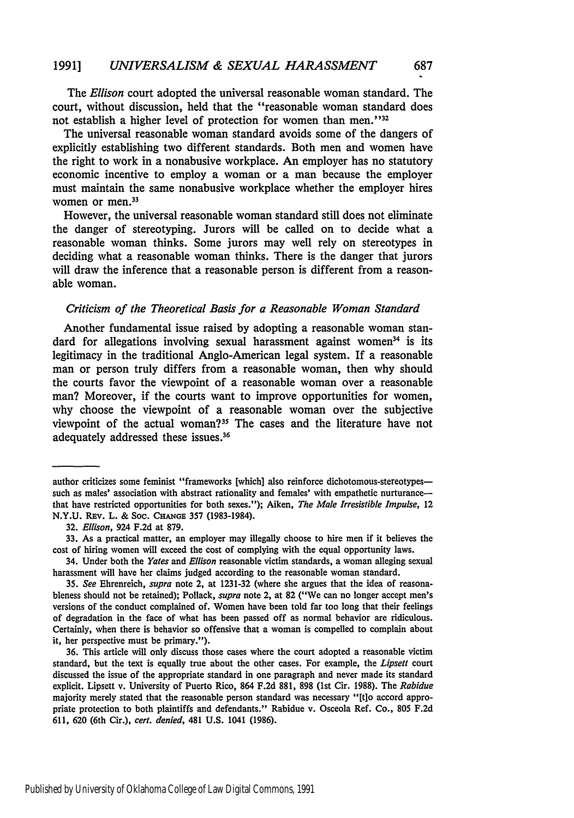The *Ellison* court adopted the universal reasonable woman standard. The court, without discussion, held that the "reasonable woman standard does not establish a higher level of protection for women than men."<sup>32</sup>

The universal reasonable woman standard avoids some of the dangers of explicitly establishing two different standards. Both men and women have the right to work in a nonabusive workplace. An employer has no statutory economic incentive to employ a woman or a man because the employer must maintain the same nonabusive workplace whether the employer hires women or men.<sup>33</sup>

However, the universal reasonable woman standard still does not eliminate the danger of stereotyping. Jurors will be called on to decide what a reasonable woman thinks. Some jurors may well rely on stereotypes in deciding what a reasonable woman thinks. There is the danger that jurors will draw the inference that a reasonable person is different from a reasonable woman.

#### *Criticism of the Theoretical Basis for a Reasonable Woman Standard*

Another fundamental issue raised by adopting a reasonable woman standard for allegations involving sexual harassment against women<sup>34</sup> is its legitimacy in the traditional Anglo-American legal system. If a reasonable man or person truly differs from a reasonable woman, then why should the courts favor the viewpoint of a reasonable woman over a reasonable man? Moreover, if the courts want to improve opportunities for women, why choose the viewpoint of a reasonable woman over the subjective viewpoint of the actual woman?33 The cases and the literature have not adequately addressed these issues.<sup>36</sup>

author criticizes some feminist "frameworks [which] also reinforce dichotomous-stereotypessuch as males' association with abstract rationality and females' with empathetic nurturance that have restricted opportunities for both sexes."); Aiken, *The Male Irresistible Impulse,* 12 N.Y.U. REv. L. & Soc. **CHANGE** 357 (1983-1984).

<sup>32.</sup> *Ellison,* 924 F.2d at 879.

<sup>33.</sup> As a practical matter, an employer may illegally choose to hire men if it believes the cost of hiring women will exceed the cost of complying with the equal opportunity laws.

<sup>34.</sup> Under both the *Yates* and *Ellison* reasonable victim standards, a woman alleging sexual harassment will have her claims judged according to the reasonable woman standard.

*<sup>35.</sup> See* Ehrenreich, *supra* note 2, at 1231-32 (where she argues that the idea of reasonableness should not be retained); Pollack, *supra* note 2, at 82 ("We can no longer accept men's versions of the conduct complained of. Women have been told far too long that their feelings of degradation in the face of what has been passed off as normal behavior are ridiculous. Certainly, when there is behavior so offensive that a woman is compelled to complain about it, her perspective must be primary.").

<sup>36.</sup> This article will only discuss those cases where the court adopted a reasonable victim standard, but the text is equally true about the other cases. For example, the *Lipsett* court discussed the issue of the appropriate standard in one paragraph and never made its standard explicit. Lipsett v. University of Puerto Rico, 864 F.2d 881, 898 (1st Cir. 1988). The *Rabidue* majority merely stated that the reasonable person standard was necessary "[t]o accord appropriate protection to both plaintiffs and defendants." Rabidue v. Osceola Ref. Co., 805 F.2d 611, 620 (6th Cir.), *cert. denied,* 481 U.S. 1041 (1986).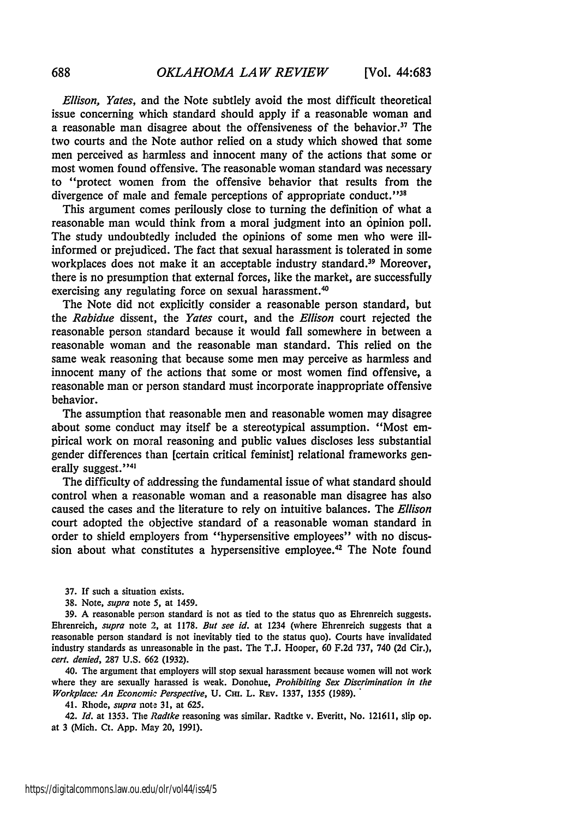*Ellison, Yates,* and the Note subtlely avoid the most difficult theoretical issue concerning which standard should apply if a reasonable woman and a reasonable man disagree about the offensiveness of the behavior.<sup>37</sup> The two courts and the Note author relied on a study which showed that some men perceived as harmless and innocent many of the actions that some or most women found offensive. The reasonable woman standard was necessary to "protect women from the offensive behavior that results from the divergence of male and female perceptions of appropriate conduct."<sup>38</sup>

This argument comes perilously close to turning the definition of what a reasonable man would think from a moral judgment into an opinion poll. The study undoubtedly included the opinions of some men who were illinformed or prejudiced. The fact that sexual harassment is tolerated in some workplaces does not make it an acceptable industry standard.<sup>39</sup> Moreover, there is no presumption that external forces, like the market, are successfully exercising any regulating force on sexual harassment.<sup>40</sup>

The Note did not explicitly consider a reasonable person standard, but the *Rabidue* dissent, the *Yates* court, and the *Ellison* court rejected the reasonable person standard because it would fall somewhere in between a reasonable woman and the reasonable man standard. This relied on the same weak reasoning that because some men may perceive as harmless and innocent many of the actions that some or most women find offensive, a reasonable man or person standard must incorporate inappropriate offensive behavior.

The assumption that reasonable men and reasonable women may disagree about some conduct may itself be a stereotypical assumption. "Most empirical work on moral reasoning and public values discloses less substantial gender differences than [certain critical feminist] relational frameworks generally suggest."<sup>41</sup>

The difficulty of addressing the fundamental issue of what standard should control when a reasonable woman and a reasonable man disagree has also caused the cases and the literature to rely on intuitive balances. The *Ellison* court adopted the objective standard of a reasonable woman standard in order to shield employers from "hypersensitive employees" with no discussion about what constitutes a hypersensitive employee.<sup>42</sup> The Note found

**37.** If such a situation exists.

38. Note, *supra* note 5, at 1459.

39. A reasonable per;on standard is not as tied to the status quo as Ehrenreich suggests. Ehrenreich, *supra* note 2, at 1178. *But see id.* at 1234 (where Ehrenreich suggests that a reasonable person standard is not inevitably tied to the status quo). Courts have invalidated industry standards as unreasonable in the past. The T.J. Hooper, 60 F.2d 737, 740 **(2d** Cir.), *cert. denied,* 287 U.S. 662 (1932).

40. The argument that employers will stop sexual harassment because women will not work where they are sexually harassed is weak. Donohue, *Prohibiting Sex Discrimination in the Workplace: An Economi: Perspective, U. Cm. L. REv. 1337, 1355 (1989).* 

41. Rhode, *supra* note 31, at 625.

42. *Id.* at 1353. The *Radtke* reasoning was similar. Radtke v. Everitt, No. 121611, slip op. at 3 (Mich. Ct. **App.** May 20, 1991).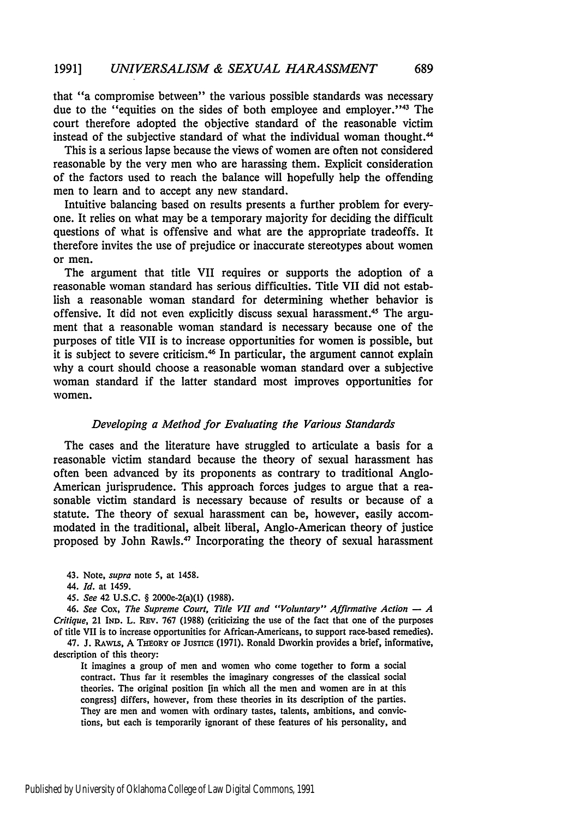that "a compromise between" the various possible standards was necessary due to the "equities on the sides of both employee and employer."<sup>43</sup> The court therefore adopted the objective standard of the reasonable victim instead of the subjective standard of what the individual woman thought. <sup>44</sup>

This is a serious lapse because the views of women are often not considered reasonable by the very men who are harassing them. Explicit consideration of the factors used to reach the balance will hopefully help the offending men to learn and to accept any new standard.

Intuitive balancing based on results presents a further problem for everyone. It relies on what may be a temporary majority for deciding the difficult questions of what is offensive and what are the appropriate tradeoffs. It therefore invites the use of prejudice or inaccurate stereotypes about women or men.

The argument that title VII requires or supports the adoption of a reasonable woman standard has serious difficulties. Title VII did not establish a reasonable woman standard for determining whether behavior is offensive. It did not even explicitly discuss sexual harassment.43 The argument that a reasonable woman standard is necessary because one of the purposes of title VII is to increase opportunities for women is possible, but it is subject to severe criticism.<sup>46</sup> In particular, the argument cannot explain why a court should choose a reasonable woman standard over a subjective woman standard if the latter standard most improves opportunities for women.

#### *Developing a Method for Evaluating the Various Standards*

The cases and the literature have struggled to articulate a basis for a reasonable victim standard because the theory of sexual harassment has often been advanced by its proponents as contrary to traditional Anglo-American jurisprudence. This approach forces judges to argue that a reasonable victim standard is necessary because of results or because of a statute. The theory of sexual harassment can be, however, easily accommodated in the traditional, albeit liberal, Anglo-American theory of justice proposed by John Rawls. 47 Incorporating the theory of sexual harassment

*45. See* 42 U.S.C. § 2000e-2(a)(1) (1988).

*46. See* Cox, *The Supreme Court, Title VII and "Voluntary" Affirmative Action* **-** *A Critique*, 21 IND. L. REV. 767 (1988) (criticizing the use of the fact that one of the purposes of title VII is to increase opportunities for African-Americans, to support race-based remedies).

47. J. RAWLS, A THEORY OF JUSTICE (1971). Ronald Dworkin provides a brief, informative, description of this theory:

It imagines a group of men and women who come together to form a social contract. Thus far it resembles the imaginary congresses of the classical social theories. The original position [in which all the men and women are in at this congress] differs, however, from these theories in its description of the parties. They are men and women with ordinary tastes, talents, ambitions, and convictions, but each is temporarily ignorant of these features of his personality, and

<sup>43.</sup> Note, *supra* note 5, at 1458.

<sup>44.</sup> *Id.* at 1459.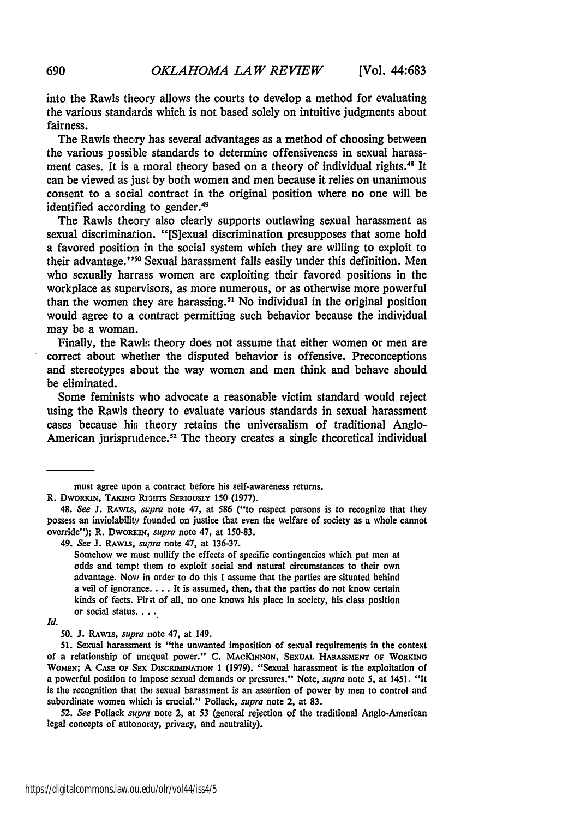into the Rawls theory allows the courts to develop a method for evaluating the various standards which is not based solely on intuitive judgments about fairness.

The Rawls theory has several advantages as a method of choosing between the various possible standards to determine offensiveness in sexual harassment cases. It is a moral theory based on a theory of individual rights.<sup>48</sup> It can be viewed as just by both women and men because it relies on unanimous consent to a social contract in the original position where no one will be identified according to gender.<sup>49</sup>

The Rawls theory also clearly supports outlawing sexual harassment as sexual discrimination. "[S]exual discrimination presupposes that some hold a favored position in the social system which they are willing to exploit to their advantage."<sup>50</sup> Sexual harassment falls easily under this definition. Men who sexually harrass women are exploiting their favored positions in the workplace as supervisors, as more numerous, or as otherwise more powerful than the women they are harassing.<sup>51</sup> No individual in the original position would agree to a contract permitting such behavior because the individual may be a woman.

Finally, the Rawls theory does not assume that either women or men are correct about whether the disputed behavior is offensive. Preconceptions and stereotypes about the way women and men think and behave should be eliminated.

Some feminists who advocate a reasonable victim standard would reject using the Rawls theory to evaluate various standards in sexual harassment cases because hi; theory retains the universalism of traditional Anglo-American jurisprudence.<sup>52</sup> The theory creates a single theoretical individual

R. DWORKIN, TAKING RIGHTS SERIOUSLY 150 (1977).

must agree upon a contract before his self-awareness returns.

<sup>48.</sup> *See* J. RAwis, *supra* note 47, at 586 ("to respect persons is to recognize that they possess an inviolability founded on justice that even the welfare of society as a whole cannot override"); R. Dworkin, *supra* note 47, at 150-83.

<sup>49.</sup> *See J.* RAwis, *supra* note 47, at 136-37.

Somehow we must nullify the effects of specific contingencies which put men at odds and tempt them to exploit social and natural circumstances to their own advantage. Now in order to do this I assume that the parties are situated behind a veil of ignorance.... It is assumed, then, that the parties do not know certain kinds of facts. Fir;t of all, no one knows his place in society, his class position or social status....

*Id.*

<sup>50.</sup> **J.** RAwxs, *supra* note 47, at 149.

<sup>51.</sup> Sexual harassment is "the unwanted imposition of sexual requirements in the context of a relationship of unequal power." C. MACKINNON, SEXUAL HARASSMENT OF WORKING **WOMEN;** A **CASE** oF SEx DISCRMNATION 1 **(1979).** "Sexual harassment is the exploitation of a powerful position to impose sexual demands or pressures." Note, *supra* note **5,** at 1451. "It is the recognition that the sexual harassment is an assertion of power **by** men to control and subordinate women which is crucial." Pollack, *supra* note 2, at 83.

<sup>52.</sup> *See* Pollack *supra* note 2, at 53 (general rejection of the traditional Anglo-American legal concepts of autonoray, privacy, and neutrality).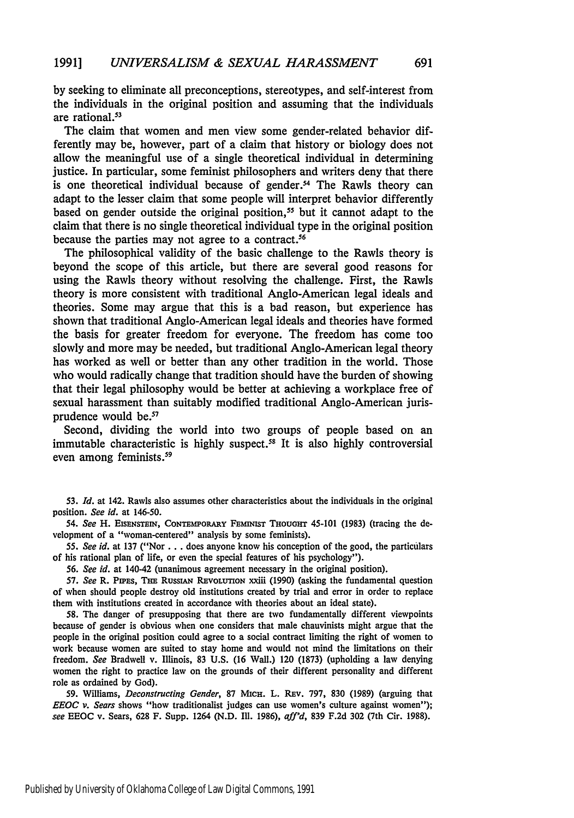by seeking to eliminate all preconceptions, stereotypes, and self-interest from the individuals in the original position and assuming that the individuals are rational.<sup>53</sup>

The claim that women and men view some gender-related behavior differently may be, however, part of a claim that history or biology does not allow the meaningful use of a single theoretical individual in determining justice. In particular, some feminist philosophers and writers deny that there is one theoretical individual because of gender.<sup>54</sup> The Rawls theory can adapt to the lesser claim that some people will interpret behavior differently based on gender outside the original position,<sup>55</sup> but it cannot adapt to the claim that there is no single theoretical individual type in the original position because the parties may not agree to a contract.<sup>56</sup>

The philosophical validity of the basic challenge to the Rawls theory is beyond the scope of this article, but there are several good reasons for using the Rawls theory without resolving the challenge. First, the Rawls theory is more consistent with traditional Anglo-American legal ideals and theories. Some may argue that this is a bad reason, but experience has shown that traditional Anglo-American legal ideals and theories have formed the basis for greater freedom for everyone. The freedom has come too slowly and more may be needed, but traditional Anglo-American legal theory has worked as well or better than any other tradition in the world. Those who would radically change that tradition should have the burden of showing that their legal philosophy would be better at achieving a workplace free of sexual harassment than suitably modified traditional Anglo-American jurisprudence would be.57

Second, dividing the world into two groups of people based on an immutable characteristic is highly suspect.58 It is also highly controversial even among feminists.<sup>59</sup>

53. *Id.* at 142. Rawls also assumes other characteristics about the individuals in the original position. *See id.* at 146-50.

54. *See* H. EISENSTEIN, CONTEMPORARY **FEMINIST** THOuGHT 45-101 (1983) (tracing the development of a "woman-centered" analysis by some feminists).

*55. See id.* at **137** ("Nor... does anyone know his conception of the good, the particulars of his rational plan of life, or even the special features of his psychology").

*56. See id.* at 140-42 (unanimous agreement necessary in the original position).

**57.** *See* R. PipEs, TE RussIAN **REVOLUTION** xxiii (1990) (asking the fundamental question of when should people destroy old institutions created by trial and error in order to replace them with institutions created in accordance with theories about an ideal state).

58. The danger of presupposing that there are two fundamentally different viewpoints because of gender is obvious when one considers that male chauvinists might argue that the people in the original position could agree to a social contract limiting the right of women to work because women are suited to stay home and would not mind the limitations on their freedom. *See* Bradwell v. Illinois, **83** U.S. (16 Wall.) 120 (1873) (upholding a law denying women the right to practice law on the grounds of their different personality and different role as ordained by God).

**59.** Williams, *Deconstructing Gender,* **87 MICH.** L. REv. 797, **830 (1989)** (arguing that *EEOC v. Sears* shows "how traditionalist judges can use women's culture against women"); see EEOC v. Sears, **628** F. Supp. 1264 **(N.D.** I1. 1986), *aff'd,* **839 F.2d 302** (7th Cir. **1988).**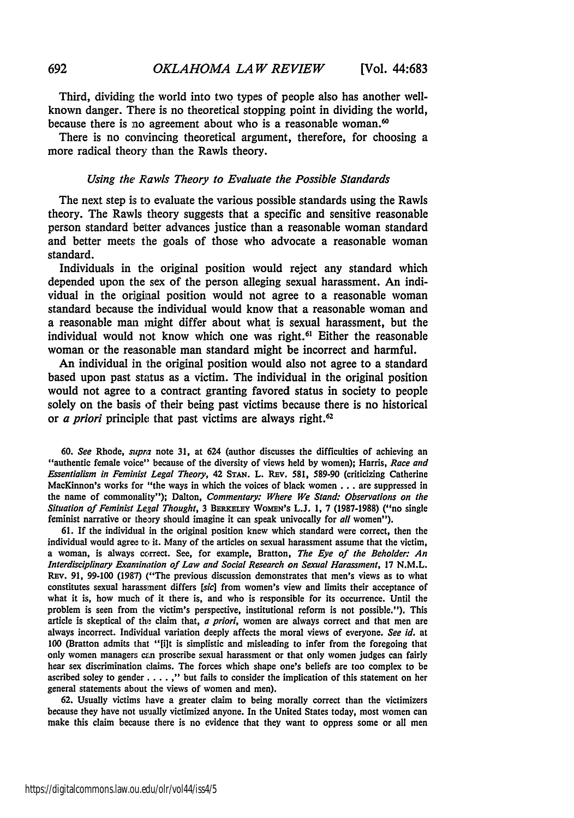Third, dividing; the world into two types of people also has another wellknown danger. There is no theoretical stopping point in dividing the world, because there is no agreement about who is a reasonable woman. $60$ 

There is no convincing theoretical argument, therefore, for choosing a more radical theory than the Rawls theory.

#### *Using the Rawls Theory to Evaluate the Possible Standards*

The next step is to evaluate the various possible standards using the Rawls theory. The Rawls theory suggests that a specific and sensitive reasonable person standard better advances justice than a reasonable woman standard and better meets the goals of those who advocate a reasonable woman standard.

Individuals in the original position would reject any standard which depended upon the sex of the person alleging sexual harassment. An individual in the original position would not agree to a reasonable woman standard because the individual would know that a reasonable woman and a reasonable **man** might differ about what is sexual harassment, but the individual would not know which one was right.<sup>61</sup> Either the reasonable woman or the reasonable man standard might be incorrect and harmful.

An individual in the original position would also not agree to a standard based upon past status as a victim. The individual in the original position would not agree to a contract granting favored status in society to people solely on the basis of their being past victims because there is no historical or *a priori* principle that past victims are always right.<sup>62</sup>

**60.** See Rhode, *supra* note 31, at 624 (author discusses the difficulties of achieving an "authentic female voice" because of the diversity of views held **by** women); Harris, *Race* and *Essentialism in Feminist Legal Theory,* 42 **STAN.** L. Ray. 581, 589-90 (criticizing Catherine MacKinnon's works for "the ways in which the voices of black women **...** are suppressed in the name of commonality"); Dalton, *Commentary: Where We Stand: Observations on the Situation of Feminist Legal Thought,* 3 BERKELEY WOMEN's L.J. 1, 7 (1987-1988) ("no single feminist narrative or theory should imagine it can speak univocally for *all* women").

61. If the individual in the original position knew which standard were correct, then the individual would agree to it. Many of the articles on sexual harassment assume that the victim, a woman, is always correct. See, for example, Bratton, *The Eye of the Beholder: An Interdisciplinary Examination of Law and Social Research on Sexual Harassment,* 17 N.M.L. Rav. **91,** 99-100 (198"7) ("The previous discussion demonstrates that men's views as to what constitutes sexual harassment differs *[sic]* from women's view and limits their acceptance of what it is, how much of it there is, and who is responsible for its occurrence. Until the problem is seen from the victim's perspective, institutional reform is not possible."). This article is skeptical of the claim that, *a priori,* women are always correct and that men are always incorrect. Individual variation deeply affects the moral views of everyone. *See id.* at 100 (Bratton admits that "[i]t is simplistic and misleading to infer from the foregoing that only women managers can proscribe sexual harassment or that only women judges can fairly hear sex discrimination claims. The forces which shape one's beliefs are too complex to be ascribed soley to gender **..... "** but fails to consider the implication of this statement on her general statements about the views of women and men).

62. Usually victims have a greater claim to being morally correct than the victimizers because they have not usually victimized anyone. In the United States today, most women can make this claim because there is no evidence that they want to oppress some or all men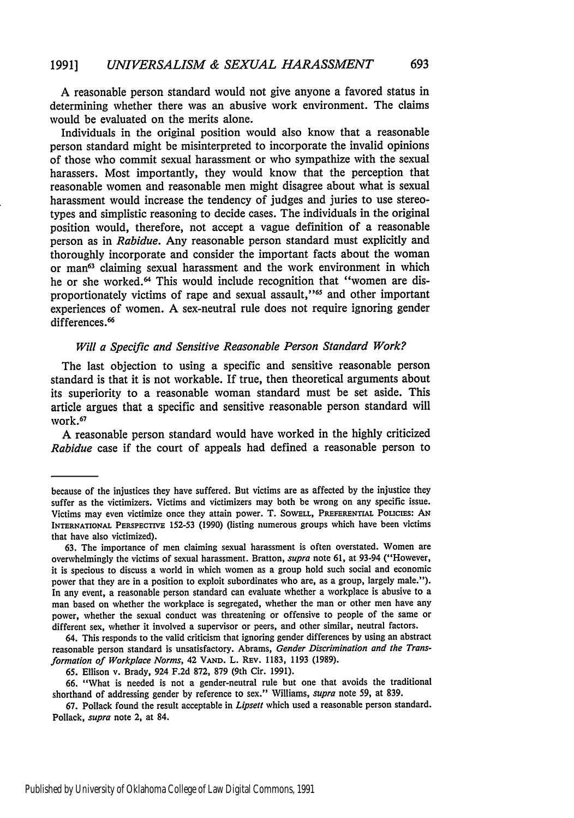A reasonable person standard would not give anyone a favored status in determining whether there was an abusive work environment. The claims would be evaluated on the merits alone.

Individuals in the original position would also know that a reasonable person standard might be misinterpreted to incorporate the invalid opinions of those who commit sexual harassment or who sympathize with the sexual harassers. Most importantly, they would know that the perception that reasonable women and reasonable men might disagree about What is sexual harassment would increase the tendency of judges and juries to use stereotypes and simplistic reasoning to decide cases. The individuals in the original position would, therefore, not accept a vague definition of a reasonable person as in *Rabidue.* Any reasonable person standard must explicitly and thoroughly incorporate and consider the important facts about the woman or man<sup>63</sup> claiming sexual harassment and the work environment in which he or she worked.<sup>64</sup> This would include recognition that "women are disproportionately victims of rape and sexual assault,"<sup>65</sup> and other important experiences of women. A sex-neutral rule does not require ignoring gender differences.<sup>66</sup>

### *Will a Specific and Sensitive Reasonable Person Standard Work?*

The last objection to using a specific and sensitive reasonable person standard is that it is not workable. If true, then theoretical arguments about its superiority to a reasonable woman standard must be set aside. This article argues that a specific and sensitive reasonable person standard will work.<sup>67</sup>

**A** reasonable person standard would have worked in the **highly** criticized *Rabidue* case if the court of appeals had defined a reasonable person to

because of the injustices they have suffered. But victims are as affected **by** the injustice they suffer as the victimizers. Victims and victimizers may both be wrong on any specific issue. Victims may even victimize once they attain power. T. SowELL, **PREFRENTIAL** Poucizs: **AN INTERNATIONAL PERSPECTIVE 152-53 (1990)** (listing numerous groups which have been victims that have also victimized).

**<sup>63.</sup>** The importance of men claiming sexual harassment is often overstated. Women are overwhelmingly the victims of sexual harassment. Bratton, *supra* note **61,** at 93-94 ("However, it is specious to discuss a world in which women as a group hold such social and economic power that they are in a position to exploit subordinates who are, as a group, largely male."). In any event, a reasonable person standard can evaluate whether a workplace is abusive to a man based on whether the workplace is segregated, whether the man or other men have any power, whether the sexual conduct was threatening or offensive to people of the same or different sex, whether it involved a supervisor or peers, and other similar, neutral factors.

<sup>64.</sup> This responds to the valid criticism that ignoring gender differences **by** using an abstract reasonable person standard is unsatisfactory. Abrams, *Gender Discrimination and the Transformation of Workplace Norms,* 42 **VAD.** L. REv. **1183, 1193 (1989).**

**<sup>65.</sup>** Ellison v. Brady, 924 **F.2d 872, 879** (9th Cir. **1991).**

**<sup>66.</sup>** "What is needed is not a gender-neutral rule but one that avoids the traditional shorthand of addressing gender **by** reference to sex." Williams, *supra* note **59,** at **839.**

**<sup>67.</sup>** Pollack found the result acceptable in *Lipsett* which used a reasonable person standard. Pollack, *supra* note 2, at 84.